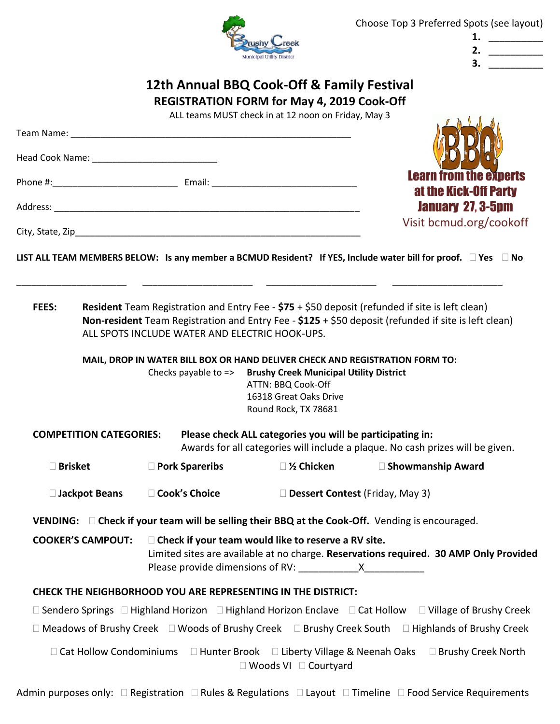

| 1. |  |
|----|--|
| 2. |  |
| 3. |  |
|    |  |

# **12th Annual BBQ Cook-Off & Family Festival REGISTRATION FORM for May 4, 2019 Cook-Off**

ALL teams MUST check in at 12 noon on Friday, May 3

| at the Kick-Off Party<br><b>January 27, 3-5pm</b><br>Visit bcmud.org/cookoff<br>LIST ALL TEAM MEMBERS BELOW: Is any member a BCMUD Resident? If YES, Include water bill for proof. $\Box$ Yes $\Box$ No<br><b>Resident</b> Team Registration and Entry Fee - $$75 + $50$ deposit (refunded if site is left clean)<br><b>FEES:</b><br>Non-resident Team Registration and Entry Fee - $$125 + $50$ deposit (refunded if site is left clean)<br>ALL SPOTS INCLUDE WATER AND ELECTRIC HOOK-UPS.<br>MAIL, DROP IN WATER BILL BOX OR HAND DELIVER CHECK AND REGISTRATION FORM TO:<br>Checks payable to => Brushy Creek Municipal Utility District<br>ATTN: BBQ Cook-Off<br>16318 Great Oaks Drive<br>Round Rock, TX 78681<br><b>COMPETITION CATEGORIES:</b><br>Please check ALL categories you will be participating in:<br>Awards for all categories will include a plaque. No cash prizes will be given.<br>□ Brisket<br>□ Pork Spareribs<br>$\square$ ½ Chicken<br>□ Showmanship Award<br>□ Cook's Choice<br>Dessert Contest (Friday, May 3)<br>□ Jackpot Beans<br><b>VENDING:</b> $\Box$ Check if your team will be selling their BBQ at the Cook-Off. Vending is encouraged.<br>$\Box$ Check if your team would like to reserve a RV site.<br><b>COOKER'S CAMPOUT:</b><br>Limited sites are available at no charge. Reservations required. 30 AMP Only Provided<br><b>CHECK THE NEIGHBORHOOD YOU ARE REPRESENTING IN THE DISTRICT:</b><br>□ Sendero Springs □ Highland Horizon □ Highland Horizon Enclave □ Cat Hollow □ Village of Brushy Creek<br>$\Box$ Meadows of Brushy Creek $\Box$ Woods of Brushy Creek $\Box$ Brushy Creek South $\Box$ Highlands of Brushy Creek<br>□ Cat Hollow Condominiums<br>□ Hunter Brook □ Liberty Village & Neenah Oaks<br>□ Woods VI □ Courtyard |  | ALL teams infost criterial at 12 houri off friday, indy 5 |                               |
|------------------------------------------------------------------------------------------------------------------------------------------------------------------------------------------------------------------------------------------------------------------------------------------------------------------------------------------------------------------------------------------------------------------------------------------------------------------------------------------------------------------------------------------------------------------------------------------------------------------------------------------------------------------------------------------------------------------------------------------------------------------------------------------------------------------------------------------------------------------------------------------------------------------------------------------------------------------------------------------------------------------------------------------------------------------------------------------------------------------------------------------------------------------------------------------------------------------------------------------------------------------------------------------------------------------------------------------------------------------------------------------------------------------------------------------------------------------------------------------------------------------------------------------------------------------------------------------------------------------------------------------------------------------------------------------------------------------------------------------------------------------------------------|--|-----------------------------------------------------------|-------------------------------|
|                                                                                                                                                                                                                                                                                                                                                                                                                                                                                                                                                                                                                                                                                                                                                                                                                                                                                                                                                                                                                                                                                                                                                                                                                                                                                                                                                                                                                                                                                                                                                                                                                                                                                                                                                                                    |  |                                                           |                               |
|                                                                                                                                                                                                                                                                                                                                                                                                                                                                                                                                                                                                                                                                                                                                                                                                                                                                                                                                                                                                                                                                                                                                                                                                                                                                                                                                                                                                                                                                                                                                                                                                                                                                                                                                                                                    |  |                                                           |                               |
|                                                                                                                                                                                                                                                                                                                                                                                                                                                                                                                                                                                                                                                                                                                                                                                                                                                                                                                                                                                                                                                                                                                                                                                                                                                                                                                                                                                                                                                                                                                                                                                                                                                                                                                                                                                    |  |                                                           | <b>Learn from the experts</b> |
|                                                                                                                                                                                                                                                                                                                                                                                                                                                                                                                                                                                                                                                                                                                                                                                                                                                                                                                                                                                                                                                                                                                                                                                                                                                                                                                                                                                                                                                                                                                                                                                                                                                                                                                                                                                    |  |                                                           |                               |
|                                                                                                                                                                                                                                                                                                                                                                                                                                                                                                                                                                                                                                                                                                                                                                                                                                                                                                                                                                                                                                                                                                                                                                                                                                                                                                                                                                                                                                                                                                                                                                                                                                                                                                                                                                                    |  |                                                           |                               |
|                                                                                                                                                                                                                                                                                                                                                                                                                                                                                                                                                                                                                                                                                                                                                                                                                                                                                                                                                                                                                                                                                                                                                                                                                                                                                                                                                                                                                                                                                                                                                                                                                                                                                                                                                                                    |  |                                                           |                               |
|                                                                                                                                                                                                                                                                                                                                                                                                                                                                                                                                                                                                                                                                                                                                                                                                                                                                                                                                                                                                                                                                                                                                                                                                                                                                                                                                                                                                                                                                                                                                                                                                                                                                                                                                                                                    |  |                                                           |                               |
|                                                                                                                                                                                                                                                                                                                                                                                                                                                                                                                                                                                                                                                                                                                                                                                                                                                                                                                                                                                                                                                                                                                                                                                                                                                                                                                                                                                                                                                                                                                                                                                                                                                                                                                                                                                    |  |                                                           |                               |
|                                                                                                                                                                                                                                                                                                                                                                                                                                                                                                                                                                                                                                                                                                                                                                                                                                                                                                                                                                                                                                                                                                                                                                                                                                                                                                                                                                                                                                                                                                                                                                                                                                                                                                                                                                                    |  |                                                           |                               |
|                                                                                                                                                                                                                                                                                                                                                                                                                                                                                                                                                                                                                                                                                                                                                                                                                                                                                                                                                                                                                                                                                                                                                                                                                                                                                                                                                                                                                                                                                                                                                                                                                                                                                                                                                                                    |  |                                                           |                               |
|                                                                                                                                                                                                                                                                                                                                                                                                                                                                                                                                                                                                                                                                                                                                                                                                                                                                                                                                                                                                                                                                                                                                                                                                                                                                                                                                                                                                                                                                                                                                                                                                                                                                                                                                                                                    |  |                                                           |                               |
|                                                                                                                                                                                                                                                                                                                                                                                                                                                                                                                                                                                                                                                                                                                                                                                                                                                                                                                                                                                                                                                                                                                                                                                                                                                                                                                                                                                                                                                                                                                                                                                                                                                                                                                                                                                    |  |                                                           |                               |
|                                                                                                                                                                                                                                                                                                                                                                                                                                                                                                                                                                                                                                                                                                                                                                                                                                                                                                                                                                                                                                                                                                                                                                                                                                                                                                                                                                                                                                                                                                                                                                                                                                                                                                                                                                                    |  |                                                           |                               |
|                                                                                                                                                                                                                                                                                                                                                                                                                                                                                                                                                                                                                                                                                                                                                                                                                                                                                                                                                                                                                                                                                                                                                                                                                                                                                                                                                                                                                                                                                                                                                                                                                                                                                                                                                                                    |  |                                                           |                               |
|                                                                                                                                                                                                                                                                                                                                                                                                                                                                                                                                                                                                                                                                                                                                                                                                                                                                                                                                                                                                                                                                                                                                                                                                                                                                                                                                                                                                                                                                                                                                                                                                                                                                                                                                                                                    |  |                                                           |                               |
|                                                                                                                                                                                                                                                                                                                                                                                                                                                                                                                                                                                                                                                                                                                                                                                                                                                                                                                                                                                                                                                                                                                                                                                                                                                                                                                                                                                                                                                                                                                                                                                                                                                                                                                                                                                    |  |                                                           |                               |
|                                                                                                                                                                                                                                                                                                                                                                                                                                                                                                                                                                                                                                                                                                                                                                                                                                                                                                                                                                                                                                                                                                                                                                                                                                                                                                                                                                                                                                                                                                                                                                                                                                                                                                                                                                                    |  |                                                           |                               |
|                                                                                                                                                                                                                                                                                                                                                                                                                                                                                                                                                                                                                                                                                                                                                                                                                                                                                                                                                                                                                                                                                                                                                                                                                                                                                                                                                                                                                                                                                                                                                                                                                                                                                                                                                                                    |  |                                                           | □ Brushy Creek North          |

Admin purposes only:  $\Box$  Registration  $\Box$  Rules & Regulations  $\Box$  Layout  $\Box$  Timeline  $\Box$  Food Service Requirements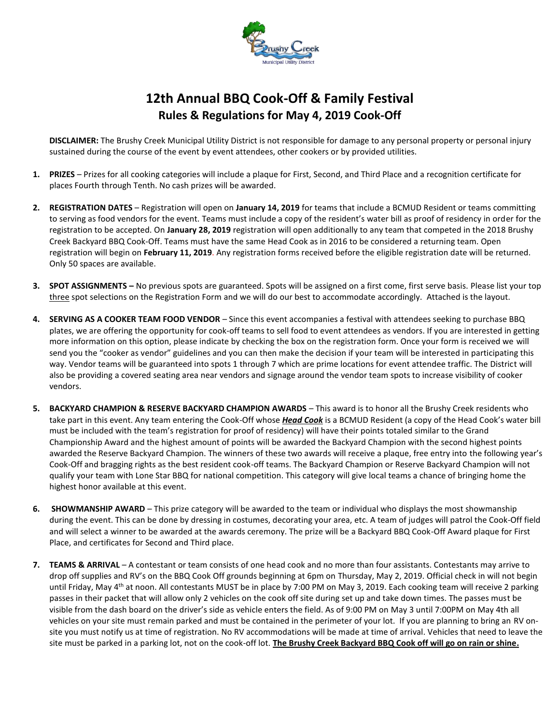

# **12th Annual BBQ Cook-Off & Family Festival Rules & Regulations for May 4, 2019 Cook-Off**

**DISCLAIMER:** The Brushy Creek Municipal Utility District is not responsible for damage to any personal property or personal injury sustained during the course of the event by event attendees, other cookers or by provided utilities.

- **1. PRIZES** Prizes for all cooking categories will include a plaque for First, Second, and Third Place and a recognition certificate for places Fourth through Tenth. No cash prizes will be awarded.
- **2. REGISTRATION DATES** Registration will open on **January 14, 2019** for teams that include a BCMUD Resident or teams committing to serving as food vendors for the event. Teams must include a copy of the resident's water bill as proof of residency in order for the registration to be accepted. On **January 28, 2019** registration will open additionally to any team that competed in the 2018 Brushy Creek Backyard BBQ Cook-Off. Teams must have the same Head Cook as in 2016 to be considered a returning team. Open registration will begin on **February 11, 2019**. Any registration forms received before the eligible registration date will be returned. Only 50 spaces are available.
- **3. SPOT ASSIGNMENTS –** No previous spots are guaranteed. Spots will be assigned on a first come, first serve basis. Please list your top three spot selections on the Registration Form and we will do our best to accommodate accordingly. Attached is the layout.
- **4. SERVING AS A COOKER TEAM FOOD VENDOR** Since this event accompanies a festival with attendees seeking to purchase BBQ plates, we are offering the opportunity for cook-off teams to sell food to event attendees as vendors. If you are interested in getting more information on this option, please indicate by checking the box on the registration form. Once your form is received we will send you the "cooker as vendor" guidelines and you can then make the decision if your team will be interested in participating this way. Vendor teams will be guaranteed into spots 1 through 7 which are prime locations for event attendee traffic. The District will also be providing a covered seating area near vendors and signage around the vendor team spots to increase visibility of cooker vendors.
- **5. BACKYARD CHAMPION & RESERVE BACKYARD CHAMPION AWARDS** This award is to honor all the Brushy Creek residents who take part in this event. Any team entering the Cook-Off whose *Head Cook* is a BCMUD Resident (a copy of the Head Cook's water bill must be included with the team's registration for proof of residency) will have their points totaled similar to the Grand Championship Award and the highest amount of points will be awarded the Backyard Champion with the second highest points awarded the Reserve Backyard Champion. The winners of these two awards will receive a plaque, free entry into the following year's Cook-Off and bragging rights as the best resident cook-off teams. The Backyard Champion or Reserve Backyard Champion will not qualify your team with Lone Star BBQ for national competition. This category will give local teams a chance of bringing home the highest honor available at this event.
- **6. SHOWMANSHIP AWARD** This prize category will be awarded to the team or individual who displays the most showmanship during the event. This can be done by dressing in costumes, decorating your area, etc. A team of judges will patrol the Cook-Off field and will select a winner to be awarded at the awards ceremony. The prize will be a Backyard BBQ Cook-Off Award plaque for First Place, and certificates for Second and Third place.
- **7. TEAMS & ARRIVAL** A contestant or team consists of one head cook and no more than four assistants. Contestants may arrive to drop off supplies and RV's on the BBQ Cook Off grounds beginning at 6pm on Thursday, May 2, 2019. Official check in will not begin until Friday, May 4<sup>th</sup> at noon. All contestants MUST be in place by 7:00 PM on May 3, 2019. Each cooking team will receive 2 parking passes in their packet that will allow only 2 vehicles on the cook off site during set up and take down times. The passes must be visible from the dash board on the driver's side as vehicle enters the field. As of 9:00 PM on May 3 until 7:00PM on May 4th all vehicles on your site must remain parked and must be contained in the perimeter of your lot. If you are planning to bring an RV onsite you must notify us at time of registration. No RV accommodations will be made at time of arrival. Vehicles that need to leave the site must be parked in a parking lot, not on the cook-off lot. **The Brushy Creek Backyard BBQ Cook off will go on rain or shine.**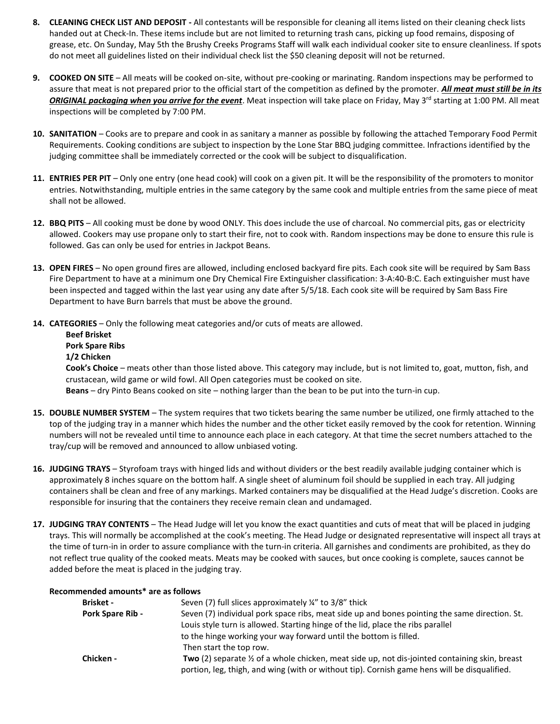- **8. CLEANING CHECK LIST AND DEPOSIT -** All contestants will be responsible for cleaning all items listed on their cleaning check lists handed out at Check-In. These items include but are not limited to returning trash cans, picking up food remains, disposing of grease, etc. On Sunday, May 5th the Brushy Creeks Programs Staff will walk each individual cooker site to ensure cleanliness. If spots do not meet all guidelines listed on their individual check list the \$50 cleaning deposit will not be returned.
- **9. COOKED ON SITE** All meats will be cooked on-site, without pre-cooking or marinating. Random inspections may be performed to assure that meat is not prepared prior to the official start of the competition as defined by the promoter. *All meat must still be in its* **ORIGINAL packaging when you arrive for the event**. Meat inspection will take place on Friday, May 3<sup>rd</sup> starting at 1:00 PM. All meat inspections will be completed by 7:00 PM.
- **10. SANITATION** Cooks are to prepare and cook in as sanitary a manner as possible by following the attached Temporary Food Permit Requirements. Cooking conditions are subject to inspection by the Lone Star BBQ judging committee. Infractions identified by the judging committee shall be immediately corrected or the cook will be subject to disqualification.
- **11. ENTRIES PER PIT** Only one entry (one head cook) will cook on a given pit. It will be the responsibility of the promoters to monitor entries. Notwithstanding, multiple entries in the same category by the same cook and multiple entries from the same piece of meat shall not be allowed.
- **12. BBQ PITS**  All cooking must be done by wood ONLY. This does include the use of charcoal. No commercial pits, gas or electricity allowed. Cookers may use propane only to start their fire, not to cook with. Random inspections may be done to ensure this rule is followed. Gas can only be used for entries in Jackpot Beans.
- **13. OPEN FIRES**  No open ground fires are allowed, including enclosed backyard fire pits. Each cook site will be required by Sam Bass Fire Department to have at a minimum one Dry Chemical Fire Extinguisher classification: 3-A:40-B:C. Each extinguisher must have been inspected and tagged within the last year using any date after 5/5/18. Each cook site will be required by Sam Bass Fire Department to have Burn barrels that must be above the ground.
- **14. CATEGORIES**  Only the following meat categories and/or cuts of meats are allowed.

### **Beef Brisket**

#### **Pork Spare Ribs**

#### **1/2 Chicken**

**Cook's Choice** – meats other than those listed above. This category may include, but is not limited to, goat, mutton, fish, and crustacean, wild game or wild fowl. All Open categories must be cooked on site.

**Beans** – dry Pinto Beans cooked on site – nothing larger than the bean to be put into the turn-in cup.

- **15. DOUBLE NUMBER SYSTEM** The system requires that two tickets bearing the same number be utilized, one firmly attached to the top of the judging tray in a manner which hides the number and the other ticket easily removed by the cook for retention. Winning numbers will not be revealed until time to announce each place in each category. At that time the secret numbers attached to the tray/cup will be removed and announced to allow unbiased voting.
- **16. JUDGING TRAYS** Styrofoam trays with hinged lids and without dividers or the best readily available judging container which is approximately 8 inches square on the bottom half. A single sheet of aluminum foil should be supplied in each tray. All judging containers shall be clean and free of any markings. Marked containers may be disqualified at the Head Judge's discretion. Cooks are responsible for insuring that the containers they receive remain clean and undamaged.
- **17. JUDGING TRAY CONTENTS** The Head Judge will let you know the exact quantities and cuts of meat that will be placed in judging trays. This will normally be accomplished at the cook's meeting. The Head Judge or designated representative will inspect all trays at the time of turn-in in order to assure compliance with the turn-in criteria. All garnishes and condiments are prohibited, as they do not reflect true quality of the cooked meats. Meats may be cooked with sauces, but once cooking is complete, sauces cannot be added before the meat is placed in the judging tray.

| lecommended amounts* are as follows |                                                                                               |  |  |
|-------------------------------------|-----------------------------------------------------------------------------------------------|--|--|
| <b>Brisket -</b>                    | Seven (7) full slices approximately ¼" to 3/8" thick                                          |  |  |
| <b>Pork Spare Rib -</b>             | Seven (7) individual pork space ribs, meat side up and bones pointing the same direction. St. |  |  |
|                                     | Louis style turn is allowed. Starting hinge of the lid, place the ribs parallel               |  |  |
|                                     | to the hinge working your way forward until the bottom is filled.                             |  |  |
|                                     | Than $start$ tha tan row                                                                      |  |  |

# **Recommended amounts\* are as follows**

Then start the top row. **Chicken - Two** (2) separate ½ of a whole chicken, meat side up, not dis-jointed containing skin, breast portion, leg, thigh, and wing (with or without tip). Cornish game hens will be disqualified.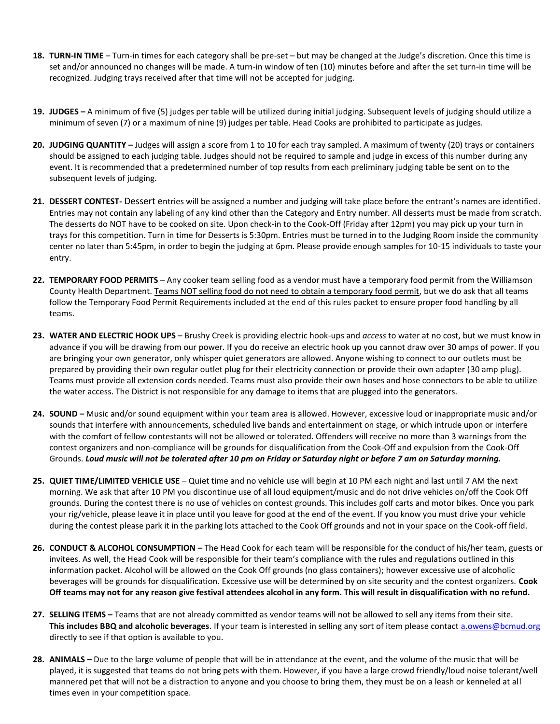- **18. TURN-IN TIME** Turn-in times for each category shall be pre-set but may be changed at the Judge's discretion. Once this time is set and/or announced no changes will be made. A turn-in window of ten (10) minutes before and after the set turn-in time will be recognized. Judging trays received after that time will not be accepted for judging.
- **19. JUDGES –** A minimum of five (5) judges per table will be utilized during initial judging. Subsequent levels of judging should utilize a minimum of seven (7) or a maximum of nine (9) judges per table. Head Cooks are prohibited to participate as judges.
- **20. JUDGING QUANTITY –** Judges will assign a score from 1 to 10 for each tray sampled. A maximum of twenty (20) trays or containers should be assigned to each judging table. Judges should not be required to sample and judge in excess of this number during any event. It is recommended that a predetermined number of top results from each preliminary judging table be sent on to the subsequent levels of judging.
- **21. DESSERT CONTEST-** Dessert entries will be assigned a number and judging will take place before the entrant's names are identified. Entries may not contain any labeling of any kind other than the Category and Entry number. All desserts must be made from scratch. The desserts do NOT have to be cooked on site. Upon check-in to the Cook-Off (Friday after 12pm) you may pick up your turn in trays for this competition. Turn in time for Desserts is 5:30pm. Entries must be turned in to the Judging Room inside the community center no later than 5:45pm, in order to begin the judging at 6pm. Please provide enough samples for 10-15 individuals to taste your entry.
- **22. TEMPORARY FOOD PERMITS** Any cooker team selling food as a vendor must have a temporary food permit from the Williamson County Health Department. Teams NOT selling food do not need to obtain a temporary food permit, but we do ask that all teams follow the Temporary Food Permit Requirements included at the end of this rules packet to ensure proper food handling by all teams.
- **23. WATER AND ELECTRIC HOOK UPS** Brushy Creek is providing electric hook-ups and *access* to water at no cost, but we must know in advance if you will be drawing from our power. If you do receive an electric hook up you cannot draw over 30 amps of power. If you are bringing your own generator, only whisper quiet generators are allowed. Anyone wishing to connect to our outlets must be prepared by providing their own regular outlet plug for their electricity connection or provide their own adapter (30 amp plug). Teams must provide all extension cords needed. Teams must also provide their own hoses and hose connectors to be able to utilize the water access. The District is not responsible for any damage to items that are plugged into the generators.
- **24. SOUND –** Music and/or sound equipment within your team area is allowed. However, excessive loud or inappropriate music and/or sounds that interfere with announcements, scheduled live bands and entertainment on stage, or which intrude upon or interfere with the comfort of fellow contestants will not be allowed or tolerated. Offenders will receive no more than 3 warnings from the contest organizers and non-compliance will be grounds for disqualification from the Cook-Off and expulsion from the Cook-Off Grounds. *Loud music will not be tolerated after 10 pm on Friday or Saturday night or before 7 am on Saturday morning.*
- **25. QUIET TIME/LIMITED VEHICLE USE** Quiet time and no vehicle use will begin at 10 PM each night and last until 7 AM the next morning. We ask that after 10 PM you discontinue use of all loud equipment/music and do not drive vehicles on/off the Cook Off grounds. During the contest there is no use of vehicles on contest grounds. This includes golf carts and motor bikes. Once you park your rig/vehicle, please leave it in place until you leave for good at the end of the event. If you know you must drive your vehicle during the contest please park it in the parking lots attached to the Cook Off grounds and not in your space on the Cook-off field.
- **26. CONDUCT & ALCOHOL CONSUMPTION –** The Head Cook for each team will be responsible for the conduct of his/her team, guests or invitees. As well, the Head Cook will be responsible for their team's compliance with the rules and regulations outlined in this information packet. Alcohol will be allowed on the Cook Off grounds (no glass containers); however excessive use of alcoholic beverages will be grounds for disqualification. Excessive use will be determined by on site security and the contest organizers. **Cook Off teams may not for any reason give festival attendees alcohol in any form. This will result in disqualification with no refund.**
- **27. SELLING ITEMS –** Teams that are not already committed as vendor teams will not be allowed to sell any items from their site. **This includes BBQ and alcoholic beverages**. If your team is interested in selling any sort of item please contact [a.owens@bcmud.org](mailto:a.owens@bcmud.org) directly to see if that option is available to you.
- **28. ANIMALS –** Due to the large volume of people that will be in attendance at the event, and the volume of the music that will be played, it is suggested that teams do not bring pets with them. However, if you have a large crowd friendly/loud noise tolerant/well mannered pet that will not be a distraction to anyone and you choose to bring them, they must be on a leash or kenneled at all times even in your competition space.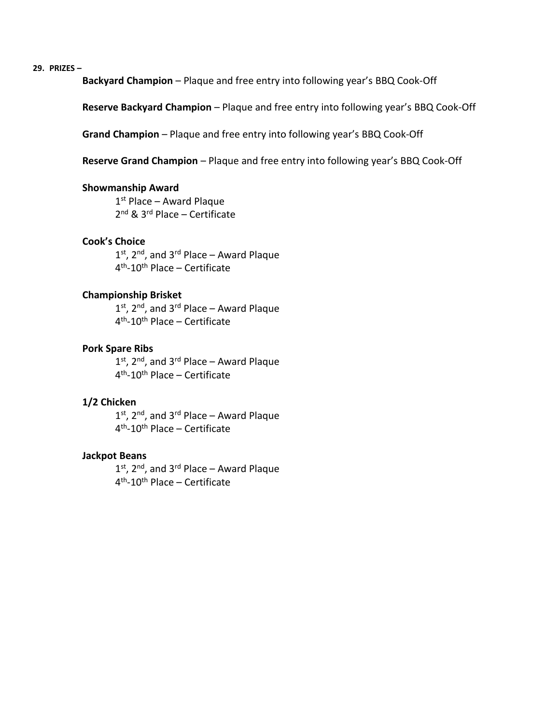**29. PRIZES –**

**Backyard Champion** – Plaque and free entry into following year's BBQ Cook-Off

**Reserve Backyard Champion** – Plaque and free entry into following year's BBQ Cook-Off

**Grand Champion** – Plaque and free entry into following year's BBQ Cook-Off

**Reserve Grand Champion** – Plaque and free entry into following year's BBQ Cook-Off

#### **Showmanship Award**

1 st Place – Award Plaque 2 nd & 3rd Place – Certificate

### **Cook's Choice**

1<sup>st</sup>, 2<sup>nd</sup>, and 3<sup>rd</sup> Place – Award Plaque 4<sup>th</sup>-10<sup>th</sup> Place – Certificate

#### **Championship Brisket**

1<sup>st</sup>, 2<sup>nd</sup>, and 3<sup>rd</sup> Place – Award Plaque 4<sup>th</sup>-10<sup>th</sup> Place – Certificate

#### **Pork Spare Ribs**

1<sup>st</sup>, 2<sup>nd</sup>, and 3<sup>rd</sup> Place – Award Plaque 4<sup>th</sup>-10<sup>th</sup> Place – Certificate

### **1/2 Chicken**

1<sup>st</sup>, 2<sup>nd</sup>, and 3<sup>rd</sup> Place – Award Plaque 4<sup>th</sup>-10<sup>th</sup> Place – Certificate

#### **Jackpot Beans**

1<sup>st</sup>, 2<sup>nd</sup>, and 3<sup>rd</sup> Place – Award Plaque 4<sup>th</sup>-10<sup>th</sup> Place – Certificate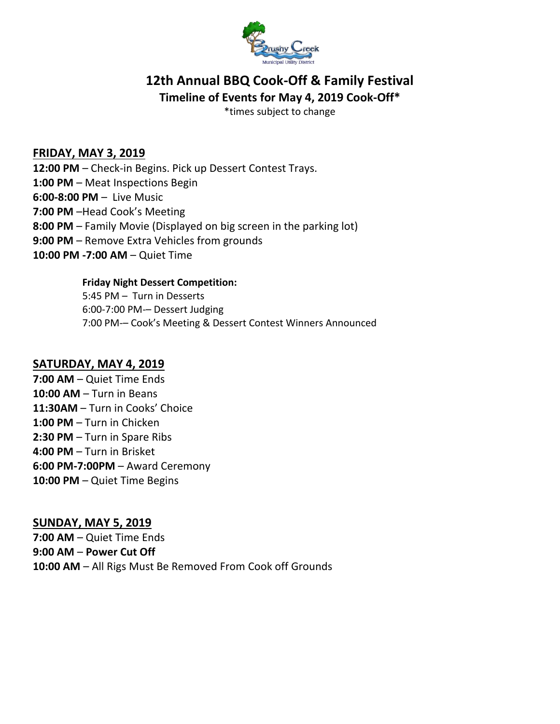

# **12th Annual BBQ Cook-Off & Family Festival Timeline of Events for May 4, 2019 Cook-Off\***

\*times subject to change

## **FRIDAY, MAY 3, 2019**

**12:00 PM** – Check-in Begins. Pick up Dessert Contest Trays. **1:00 PM** – Meat Inspections Begin **6:00-8:00 PM** – Live Music **7:00 PM** –Head Cook's Meeting **8:00 PM** – Family Movie (Displayed on big screen in the parking lot) **9:00 PM** – Remove Extra Vehicles from grounds **10:00 PM -7:00 AM** – Quiet Time

## **Friday Night Dessert Competition:**

5:45 PM – Turn in Desserts 6:00-7:00 PM-– Dessert Judging 7:00 PM-– Cook's Meeting & Dessert Contest Winners Announced

## **SATURDAY, MAY 4, 2019**

**7:00 AM** – Quiet Time Ends **10:00 AM** – Turn in Beans **11:30AM** – Turn in Cooks' Choice **1:00 PM** – Turn in Chicken **2:30 PM** – Turn in Spare Ribs **4:00 PM** – Turn in Brisket **6:00 PM-7:00PM** – Award Ceremony **10:00 PM** – Quiet Time Begins

**SUNDAY, MAY 5, 2019 7:00 AM** – Quiet Time Ends **9:00 AM** – **Power Cut Off 10:00 AM** – All Rigs Must Be Removed From Cook off Grounds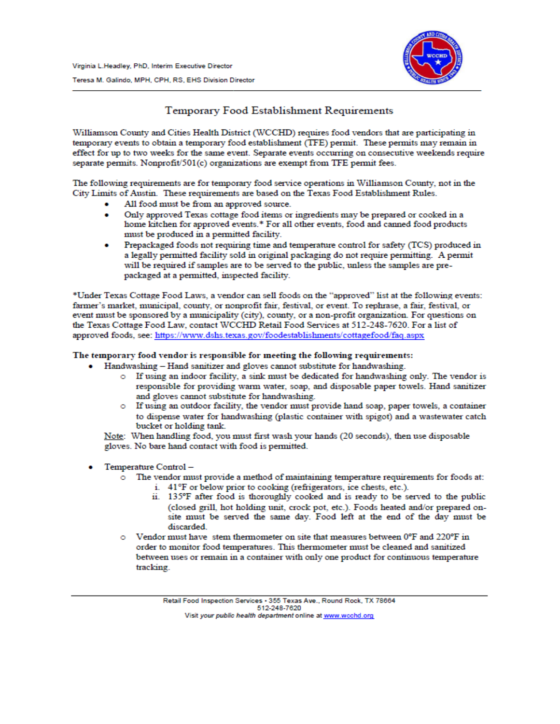

## Temporary Food Establishment Requirements

Williamson County and Cities Health District (WCCHD) requires food vendors that are participating in temporary events to obtain a temporary food establishment (TFE) permit. These permits may remain in effect for up to two weeks for the same event. Separate events occurring on consecutive weekends require separate permits. Nonprofit/501(c) organizations are exempt from TFE permit fees.

The following requirements are for temporary food service operations in Williamson County, not in the City Limits of Austin. These requirements are based on the Texas Food Establishment Rules.

- All food must be from an approved source.
- Only approved Texas cottage food items or ingredients may be prepared or cooked in a home kitchen for approved events.\* For all other events, food and canned food products must be produced in a permitted facility.
- Prepackaged foods not requiring time and temperature control for safety (TCS) produced in a legally permitted facility sold in original packaging do not require permitting. A permit will be required if samples are to be served to the public, unless the samples are prepackaged at a permitted, inspected facility.

\*Under Texas Cottage Food Laws, a vendor can sell foods on the "approved" list at the following events: farmer's market, municipal, county, or nonprofit fair, festival, or event. To rephrase, a fair, festival, or event must be sponsored by a municipality (city), county, or a non-profit organization. For questions on the Texas Cottage Food Law, contact WCCHD Retail Food Services at 512-248-7620. For a list of approved foods, see: https://www.dshs.texas.gov/foodestablishments/cottagefood/faq.aspx

#### The temporary food vendor is responsible for meeting the following requirements:

- Handwashing Hand sanitizer and gloves cannot substitute for handwashing.
	- o If using an indoor facility, a sink must be dedicated for handwashing only. The vendor is responsible for providing warm water, soap, and disposable paper towels. Hand sanitizer and gloves cannot substitute for handwashing.
	- o If using an outdoor facility, the vendor must provide hand soap, paper towels, a container to dispense water for handwashing (plastic container with spigot) and a wastewater catch bucket or holding tank.

Note: When handling food, you must first wash your hands (20 seconds), then use disposable gloves. No bare hand contact with food is permitted.

- Temperature Control
	- o The vendor must provide a method of maintaining temperature requirements for foods at:
		- i. 41°F or below prior to cooking (refrigerators, ice chests, etc.).
		- ii. 135°F after food is thoroughly cooked and is ready to be served to the public (closed grill, hot holding unit, crock pot, etc.). Foods heated and/or prepared onsite must be served the same day. Food left at the end of the day must be discarded.
	- Vendor must have stem thermometer on site that measures between 0°F and 220°F in order to monitor food temperatures. This thermometer must be cleaned and sanitized between uses or remain in a container with only one product for continuous temperature tracking.